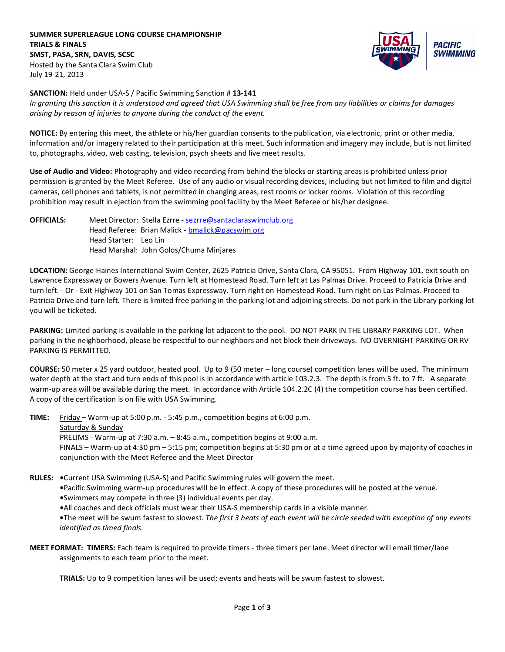**SUMMER SUPERLEAGUE LONG COURSE CHAMPIONSHIP TRIALS & FINALS SMST, PASA, SRN, DAVIS, SCSC** Hosted by the Santa Clara Swim Club July 19-21, 2013



**SANCTION:** Held under USA-S / Pacific Swimming Sanction # **13-141**

*In granting this sanction it is understood and agreed that USA Swimming shall be free from any liabilities or claims for damages arising by reason of injuries to anyone during the conduct of the event.*

**NOTICE:** By entering this meet, the athlete or his/her guardian consents to the publication, via electronic, print or other media, information and/or imagery related to their participation at this meet. Such information and imagery may include, but is not limited to, photographs, video, web casting, television, psych sheets and live meet results.

**Use of Audio and Video:** Photography and video recording from behind the blocks or starting areas is prohibited unless prior permission is granted by the Meet Referee. Use of any audio or visual recording devices, including but not limited to film and digital cameras, cell phones and tablets, is not permitted in changing areas, rest rooms or locker rooms. Violation of this recording prohibition may result in ejection from the swimming pool facility by the Meet Referee or his/her designee.

**OFFICIALS:** Meet Director: Stella Ezrre - [sezrre@santaclaraswimclub.org](mailto:sezrre@santaclaraswimclub.org) Head Referee: Brian Malick - [bmalick@pacswim.org](mailto:bmalick@pacswim.org) Head Starter: Leo Lin Head Marshal: John Golos/Chuma Minjares

**LOCATION:** George Haines International Swim Center, 2625 Patricia Drive, Santa Clara, CA 95051. From Highway 101, exit south on Lawrence Expressway or Bowers Avenue. Turn left at Homestead Road. Turn left at Las Palmas Drive. Proceed to Patricia Drive and turn left. - Or - Exit Highway 101 on San Tomas Expressway. Turn right on Homestead Road. Turn right on Las Palmas. Proceed to Patricia Drive and turn left. There is limited free parking in the parking lot and adjoining streets. Do not park in the Library parking lot you will be ticketed.

**PARKING:** Limited parking is available in the parking lot adjacent to the pool. DO NOT PARK IN THE LIBRARY PARKING LOT. When parking in the neighborhood, please be respectful to our neighbors and not block their driveways. NO OVERNIGHT PARKING OR RV PARKING IS PERMITTED.

**COURSE:** 50 meter x 25 yard outdoor, heated pool. Up to 9 (50 meter – long course) competition lanes will be used. The minimum water depth at the start and turn ends of this pool is in accordance with article 103.2.3. The depth is from 5 ft. to 7 ft. A separate warm-up area will be available during the meet. In accordance with Article 104.2.2C (4) the competition course has been certified. A copy of the certification is on file with USA Swimming.

**TIME:** Friday – Warm-up at 5:00 p.m. - 5:45 p.m., competition begins at 6:00 p.m. Saturday & Sunday PRELIMS - Warm-up at 7:30 a.m. – 8:45 a.m., competition begins at 9:00 a.m. FINALS – Warm-up at 4:30 pm – 5:15 pm; competition begins at 5:30 pm or at a time agreed upon by majority of coaches in conjunction with the Meet Referee and the Meet Director

**RULES: •**Current USA Swimming (USA-S) and Pacific Swimming rules will govern the meet.

**•**Pacific Swimming warm-up procedures will be in effect. A copy of these procedures will be posted at the venue.

**•**Swimmers may compete in three (3) individual events per day.

**•**All coaches and deck officials must wear their USA-S membership cards in a visible manner.

**•**The meet will be swum fastest to slowest. *The first 3 heats of each event will be circle seeded with exception of any events identified as timed finals.*

**MEET FORMAT: TIMERS:** Each team is required to provide timers - three timers per lane. Meet director will email timer/lane assignments to each team prior to the meet.

**TRIALS:** Up to 9 competition lanes will be used; events and heats will be swum fastest to slowest.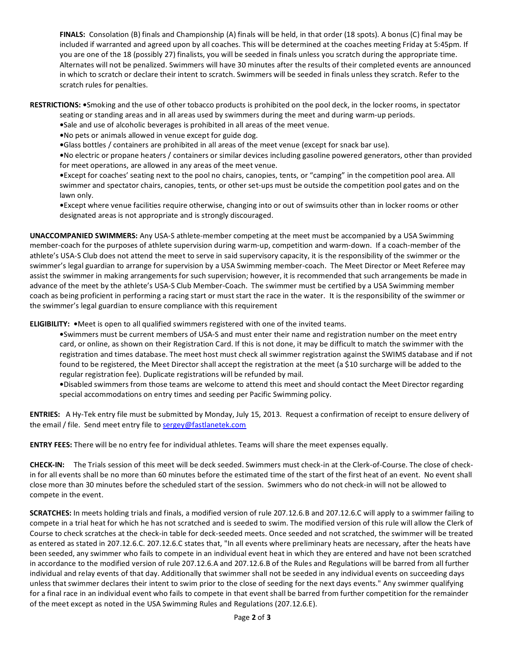**FINALS:** Consolation (B) finals and Championship (A) finals will be held, in that order (18 spots). A bonus (C) final may be included if warranted and agreed upon by all coaches. This will be determined at the coaches meeting Friday at 5:45pm. If you are one of the 18 (possibly 27) finalists, you will be seeded in finals unless you scratch during the appropriate time. Alternates will not be penalized. Swimmers will have 30 minutes after the results of their completed events are announced in which to scratch or declare their intent to scratch. Swimmers will be seeded in finals unless they scratch. Refer to the scratch rules for penalties.

**RESTRICTIONS: •**Smoking and the use of other tobacco products is prohibited on the pool deck, in the locker rooms, in spectator seating or standing areas and in all areas used by swimmers during the meet and during warm-up periods.

- **•**Sale and use of alcoholic beverages is prohibited in all areas of the meet venue.
- **•**No pets or animals allowed in venue except for guide dog.
- **•**Glass bottles / containers are prohibited in all areas of the meet venue (except for snack bar use).

**•**No electric or propane heaters / containers or similar devices including gasoline powered generators, other than provided for meet operations, are allowed in any areas of the meet venue.

**•**Except for coaches' seating next to the pool no chairs, canopies, tents, or "camping" in the competition pool area. All swimmer and spectator chairs, canopies, tents, or other set-ups must be outside the competition pool gates and on the lawn only.

**•**Except where venue facilities require otherwise, changing into or out of swimsuits other than in locker rooms or other designated areas is not appropriate and is strongly discouraged.

**UNACCOMPANIED SWIMMERS:** Any USA-S athlete-member competing at the meet must be accompanied by a USA Swimming member-coach for the purposes of athlete supervision during warm-up, competition and warm-down. If a coach-member of the athlete's USA-S Club does not attend the meet to serve in said supervisory capacity, it is the responsibility of the swimmer or the swimmer's legal guardian to arrange for supervision by a USA Swimming member-coach. The Meet Director or Meet Referee may assist the swimmer in making arrangements for such supervision; however, it is recommended that such arrangements be made in advance of the meet by the athlete's USA-S Club Member-Coach. The swimmer must be certified by a USA Swimming member coach as being proficient in performing a racing start or must start the race in the water. It is the responsibility of the swimmer or the swimmer's legal guardian to ensure compliance with this requirement

**ELIGIBILITY: •**Meet is open to all qualified swimmers registered with one of the invited teams.

- **•**Swimmers must be current members of USA-S and must enter their name and registration number on the meet entry card, or online, as shown on their Registration Card. If this is not done, it may be difficult to match the swimmer with the registration and times database. The meet host must check all swimmer registration against the SWIMS database and if not found to be registered, the Meet Director shall accept the registration at the meet (a \$10 surcharge will be added to the regular registration fee). Duplicate registrations will be refunded by mail.
- **•**Disabled swimmers from those teams are welcome to attend this meet and should contact the Meet Director regarding special accommodations on entry times and seeding per Pacific Swimming policy.

**ENTRIES:** A Hy-Tek entry file must be submitted by Monday, July 15, 2013. Request a confirmation of receipt to ensure delivery of the email / file. Send meet entry file t[o sergey@fastlanetek.com](mailto:sergey@fastlanetek.com)

**ENTRY FEES:** There will be no entry fee for individual athletes. Teams will share the meet expenses equally.

**CHECK-IN:** The Trials session of this meet will be deck seeded. Swimmers must check-in at the Clerk-of-Course. The close of checkin for all events shall be no more than 60 minutes before the estimated time of the start of the first heat of an event. No event shall close more than 30 minutes before the scheduled start of the session. Swimmers who do not check-in will not be allowed to compete in the event.

**SCRATCHES:** In meets holding trials and finals, a modified version of rule 207.12.6.B and 207.12.6.C will apply to a swimmer failing to compete in a trial heat for which he has not scratched and is seeded to swim. The modified version of this rule will allow the Clerk of Course to check scratches at the check-in table for deck-seeded meets. Once seeded and not scratched, the swimmer will be treated as entered as stated in 207.12.6.C. 207.12.6.C states that, "In all events where preliminary heats are necessary, after the heats have been seeded, any swimmer who fails to compete in an individual event heat in which they are entered and have not been scratched in accordance to the modified version of rule 207.12.6.A and 207.12.6.B of the Rules and Regulations will be barred from all further individual and relay events of that day. Additionally that swimmer shall not be seeded in any individual events on succeeding days unless that swimmer declares their intent to swim prior to the close of seeding for the next days events." Any swimmer qualifying for a final race in an individual event who fails to compete in that event shall be barred from further competition for the remainder of the meet except as noted in the USA Swimming Rules and Regulations (207.12.6.E).